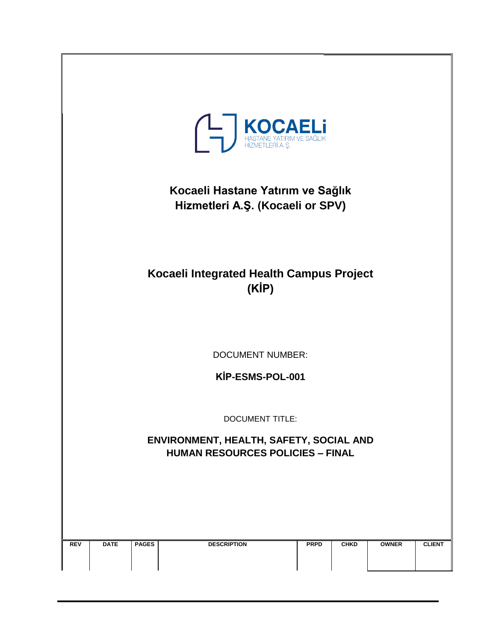| <b>THASTANE YATIRIM VE SAĞLIK</b><br>HEZMETLERÎ A. Ş.                              |             |              |                    |             |             |              |               |  |  |
|------------------------------------------------------------------------------------|-------------|--------------|--------------------|-------------|-------------|--------------|---------------|--|--|
| Kocaeli Hastane Yatırım ve Sağlık<br>Hizmetleri A.Ş. (Kocaeli or SPV)              |             |              |                    |             |             |              |               |  |  |
| Kocaeli Integrated Health Campus Project<br>(KİP)                                  |             |              |                    |             |             |              |               |  |  |
| <b>DOCUMENT NUMBER:</b>                                                            |             |              |                    |             |             |              |               |  |  |
| KİP-ESMS-POL-001                                                                   |             |              |                    |             |             |              |               |  |  |
| <b>DOCUMENT TITLE:</b>                                                             |             |              |                    |             |             |              |               |  |  |
| ENVIRONMENT, HEALTH, SAFETY, SOCIAL AND<br><b>HUMAN RESOURCES POLICIES - FINAL</b> |             |              |                    |             |             |              |               |  |  |
|                                                                                    |             |              |                    |             |             |              |               |  |  |
|                                                                                    |             |              |                    |             |             |              |               |  |  |
| <b>REV</b>                                                                         | <b>DATE</b> | <b>PAGES</b> | <b>DESCRIPTION</b> | <b>PRPD</b> | <b>CHKD</b> | <b>OWNER</b> | <b>CLIENT</b> |  |  |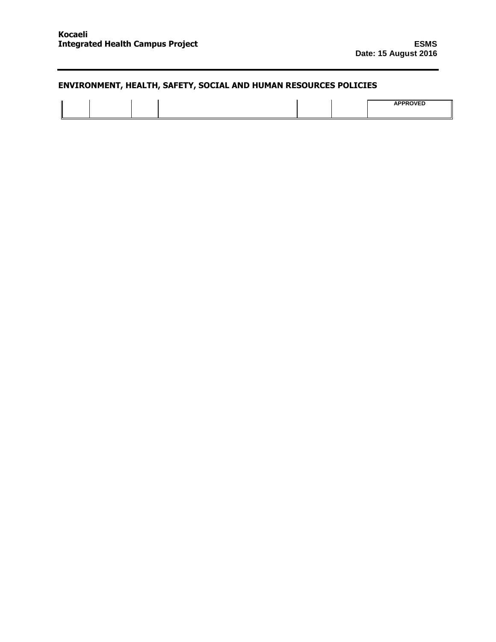|  | 100000100<br>≕ |
|--|----------------|
|--|----------------|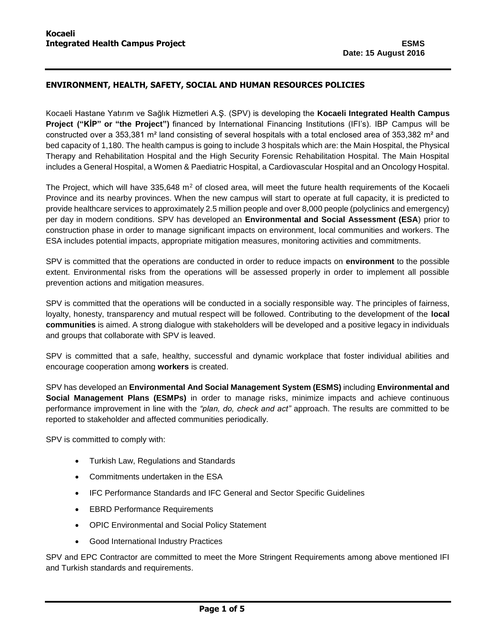Kocaeli Hastane Yatırım ve Sağlık Hizmetleri A.Ş. (SPV) is developing the **Kocaeli Integrated Health Campus Project ("KİP" or "the Project")** financed by International Financing Institutions (IFI's). IBP Campus will be constructed over a 353,381 m<sup>2</sup> land consisting of several hospitals with a total enclosed area of 353,382 m<sup>2</sup> and bed capacity of 1,180. The health campus is going to include 3 hospitals which are: the Main Hospital, the Physical Therapy and Rehabilitation Hospital and the High Security Forensic Rehabilitation Hospital. The Main Hospital includes a General Hospital, a Women & Paediatric Hospital, a Cardiovascular Hospital and an Oncology Hospital.

The Project, which will have  $335,648$  m<sup>2</sup> of closed area, will meet the future health requirements of the Kocaeli Province and its nearby provinces. When the new campus will start to operate at full capacity, it is predicted to provide healthcare services to approximately 2.5 million people and over 8,000 people (polyclinics and emergency) per day in modern conditions. SPV has developed an **Environmental and Social Assessment (ESA**) prior to construction phase in order to manage significant impacts on environment, local communities and workers. The ESA includes potential impacts, appropriate mitigation measures, monitoring activities and commitments.

SPV is committed that the operations are conducted in order to reduce impacts on **environment** to the possible extent. Environmental risks from the operations will be assessed properly in order to implement all possible prevention actions and mitigation measures.

SPV is committed that the operations will be conducted in a socially responsible way. The principles of fairness, loyalty, honesty, transparency and mutual respect will be followed. Contributing to the development of the **local communities** is aimed. A strong dialogue with stakeholders will be developed and a positive legacy in individuals and groups that collaborate with SPV is leaved.

SPV is committed that a safe, healthy, successful and dynamic workplace that foster individual abilities and encourage cooperation among **workers** is created.

SPV has developed an **Environmental And Social Management System (ESMS)** including **Environmental and Social Management Plans (ESMPs)** in order to manage risks, minimize impacts and achieve continuous performance improvement in line with the *"plan, do, check and act"* approach. The results are committed to be reported to stakeholder and affected communities periodically.

SPV is committed to comply with:

- Turkish Law, Regulations and Standards
- Commitments undertaken in the ESA
- IFC Performance Standards and IFC General and Sector Specific Guidelines
- EBRD Performance Requirements
- OPIC Environmental and Social Policy Statement
- Good International Industry Practices

SPV and EPC Contractor are committed to meet the More Stringent Requirements among above mentioned IFI and Turkish standards and requirements.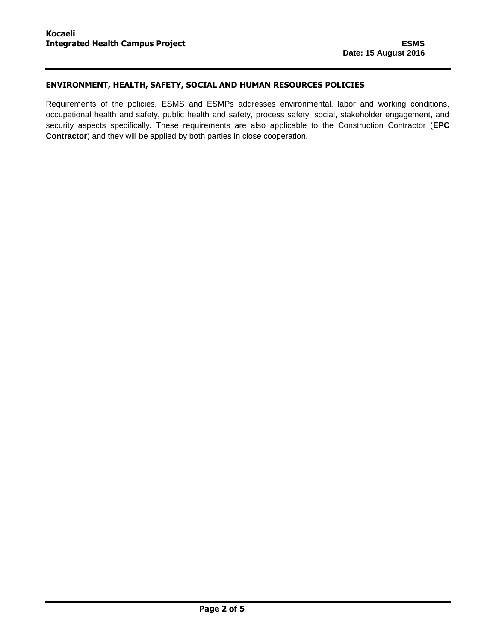Requirements of the policies, ESMS and ESMPs addresses environmental, labor and working conditions, occupational health and safety, public health and safety, process safety, social, stakeholder engagement, and security aspects specifically. These requirements are also applicable to the Construction Contractor (**EPC Contractor**) and they will be applied by both parties in close cooperation.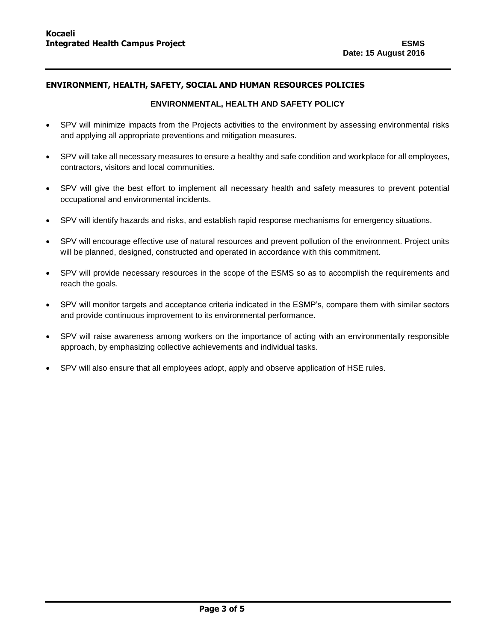### **ENVIRONMENTAL, HEALTH AND SAFETY POLICY**

- SPV will minimize impacts from the Projects activities to the environment by assessing environmental risks and applying all appropriate preventions and mitigation measures.
- SPV will take all necessary measures to ensure a healthy and safe condition and workplace for all employees, contractors, visitors and local communities.
- SPV will give the best effort to implement all necessary health and safety measures to prevent potential occupational and environmental incidents.
- SPV will identify hazards and risks, and establish rapid response mechanisms for emergency situations.
- SPV will encourage effective use of natural resources and prevent pollution of the environment. Project units will be planned, designed, constructed and operated in accordance with this commitment.
- SPV will provide necessary resources in the scope of the ESMS so as to accomplish the requirements and reach the goals.
- SPV will monitor targets and acceptance criteria indicated in the ESMP's, compare them with similar sectors and provide continuous improvement to its environmental performance.
- SPV will raise awareness among workers on the importance of acting with an environmentally responsible approach, by emphasizing collective achievements and individual tasks.
- SPV will also ensure that all employees adopt, apply and observe application of HSE rules.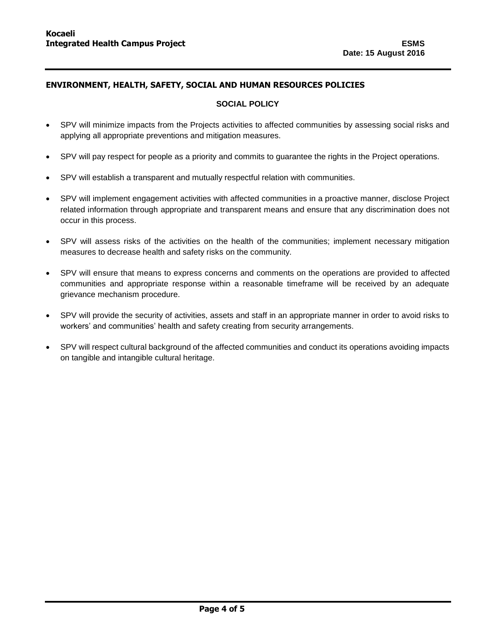## **SOCIAL POLICY**

- SPV will minimize impacts from the Projects activities to affected communities by assessing social risks and applying all appropriate preventions and mitigation measures.
- SPV will pay respect for people as a priority and commits to guarantee the rights in the Project operations.
- SPV will establish a transparent and mutually respectful relation with communities.
- SPV will implement engagement activities with affected communities in a proactive manner, disclose Project related information through appropriate and transparent means and ensure that any discrimination does not occur in this process.
- SPV will assess risks of the activities on the health of the communities; implement necessary mitigation measures to decrease health and safety risks on the community.
- SPV will ensure that means to express concerns and comments on the operations are provided to affected communities and appropriate response within a reasonable timeframe will be received by an adequate grievance mechanism procedure.
- SPV will provide the security of activities, assets and staff in an appropriate manner in order to avoid risks to workers' and communities' health and safety creating from security arrangements.
- SPV will respect cultural background of the affected communities and conduct its operations avoiding impacts on tangible and intangible cultural heritage.